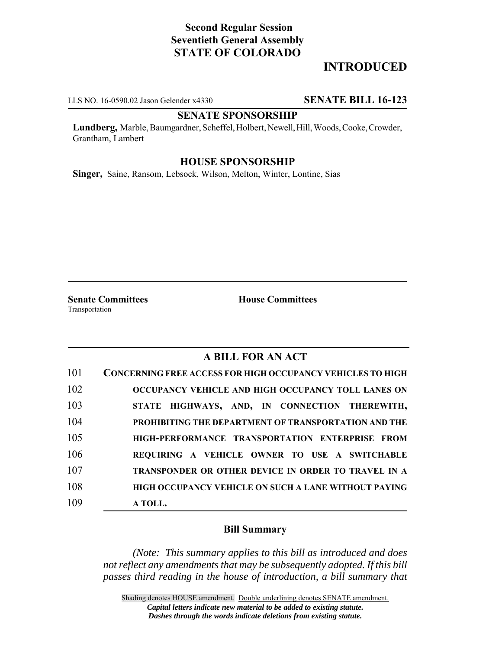# **Second Regular Session Seventieth General Assembly STATE OF COLORADO**

## **INTRODUCED**

LLS NO. 16-0590.02 Jason Gelender x4330 **SENATE BILL 16-123**

#### **SENATE SPONSORSHIP**

**Lundberg,** Marble, Baumgardner, Scheffel, Holbert, Newell, Hill, Woods, Cooke, Crowder, Grantham, Lambert

### **HOUSE SPONSORSHIP**

**Singer,** Saine, Ransom, Lebsock, Wilson, Melton, Winter, Lontine, Sias

Transportation

**Senate Committees House Committees** 

## **A BILL FOR AN ACT**

| 101 | <b>CONCERNING FREE ACCESS FOR HIGH OCCUPANCY VEHICLES TO HIGH</b> |
|-----|-------------------------------------------------------------------|
| 102 | OCCUPANCY VEHICLE AND HIGH OCCUPANCY TOLL LANES ON                |
| 103 | STATE HIGHWAYS, AND, IN CONNECTION THEREWITH,                     |
| 104 | PROHIBITING THE DEPARTMENT OF TRANSPORTATION AND THE              |
| 105 | HIGH-PERFORMANCE TRANSPORTATION ENTERPRISE FROM                   |
| 106 | REQUIRING A VEHICLE OWNER TO USE A SWITCHABLE                     |
| 107 | TRANSPONDER OR OTHER DEVICE IN ORDER TO TRAVEL IN A               |
| 108 | <b>HIGH OCCUPANCY VEHICLE ON SUCH A LANE WITHOUT PAYING</b>       |
| 109 | A TOLL.                                                           |

### **Bill Summary**

*(Note: This summary applies to this bill as introduced and does not reflect any amendments that may be subsequently adopted. If this bill passes third reading in the house of introduction, a bill summary that*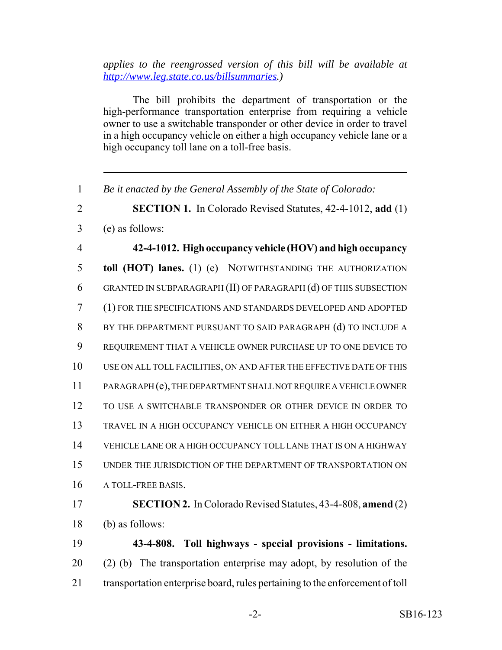*applies to the reengrossed version of this bill will be available at http://www.leg.state.co.us/billsummaries.)*

The bill prohibits the department of transportation or the high-performance transportation enterprise from requiring a vehicle owner to use a switchable transponder or other device in order to travel in a high occupancy vehicle on either a high occupancy vehicle lane or a high occupancy toll lane on a toll-free basis.

*Be it enacted by the General Assembly of the State of Colorado:*

**SECTION 1.** In Colorado Revised Statutes, 42-4-1012, **add** (1)

(e) as follows:

 **42-4-1012. High occupancy vehicle (HOV) and high occupancy toll (HOT) lanes.** (1) (e) NOTWITHSTANDING THE AUTHORIZATION GRANTED IN SUBPARAGRAPH (II) OF PARAGRAPH (d) OF THIS SUBSECTION (1) FOR THE SPECIFICATIONS AND STANDARDS DEVELOPED AND ADOPTED BY THE DEPARTMENT PURSUANT TO SAID PARAGRAPH (d) TO INCLUDE A REQUIREMENT THAT A VEHICLE OWNER PURCHASE UP TO ONE DEVICE TO USE ON ALL TOLL FACILITIES, ON AND AFTER THE EFFECTIVE DATE OF THIS PARAGRAPH (e), THE DEPARTMENT SHALL NOT REQUIRE A VEHICLE OWNER TO USE A SWITCHABLE TRANSPONDER OR OTHER DEVICE IN ORDER TO TRAVEL IN A HIGH OCCUPANCY VEHICLE ON EITHER A HIGH OCCUPANCY VEHICLE LANE OR A HIGH OCCUPANCY TOLL LANE THAT IS ON A HIGHWAY UNDER THE JURISDICTION OF THE DEPARTMENT OF TRANSPORTATION ON A TOLL-FREE BASIS. **SECTION 2.** In Colorado Revised Statutes, 43-4-808, **amend** (2) (b) as follows: **43-4-808. Toll highways - special provisions - limitations.** (2) (b) The transportation enterprise may adopt, by resolution of the transportation enterprise board, rules pertaining to the enforcement of toll